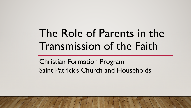# The Role of Parents in the Transmission of the Faith

Christian Formation Program Saint Patrick's Church and Households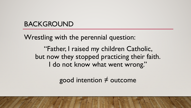## BACKGROUND

Wrestling with the perennial question:

"Father, I raised my children Catholic, but now they stopped practicing their faith. I do not know what went wrong."

good intention  $\neq$  outcome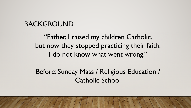#### BACKGROUND

"Father, I raised my children Catholic, but now they stopped practicing their faith. I do not know what went wrong."

Before: Sunday Mass / Religious Education / Catholic School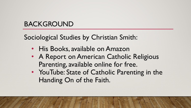# BACKGROUND

Sociological Studies by Christian Smith:

- His Books, available on Amazon
- A Report on American Catholic Religious Parenting, available online for free.
- YouTube: State of Catholic Parenting in the Handing On of the Faith.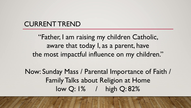#### CURRENT TREND

"Father, I am raising my children Catholic, aware that today I, as a parent, have the most impactful influence on my children."

Now: Sunday Mass / Parental Importance of Faith / Family Talks about Religion at Home low Q: 1% / high Q: 82%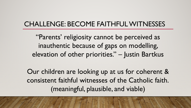#### CHALLENGE: BECOME FAITHFUL WITNESSES

"Parents' religiosity cannot be perceived as inauthentic because of gaps on modelling, elevation of other priorities." – Justin Bartkus

Our children are looking up at us for coherent & consistent faithful witnesses of the Catholic faith. (meaningful, plausible, and viable)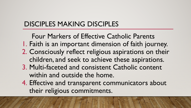# DISCIPLES MAKING DISCIPLES

Four Markers of Effective Catholic Parents 1. Faith is an important dimension of faith journey. 2. Consciously reflect religious aspirations on their children, and seek to achieve these aspirations.

- 3. Multi-faceted and consistent Catholic content within and outside the home.
- 4. Effective and transparent communicators about their religious commitments.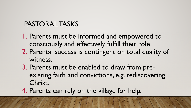# PASTORAL TASKS

- 1. Parents must be informed and empowered to consciously and effectively fulfill their role.
- 2. Parental success is contingent on total quality of witness.
- 3. Parents must be enabled to draw from preexisting faith and convictions, e.g. rediscovering Christ.
- 4. Parents can rely on the village for help.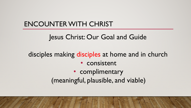## ENCOUNTER WITH CHRIST

#### Jesus Christ: Our Goal and Guide

## disciples making disciples at home and in church

#### • consistent

# • complimentary (meaningful, plausible, and viable)